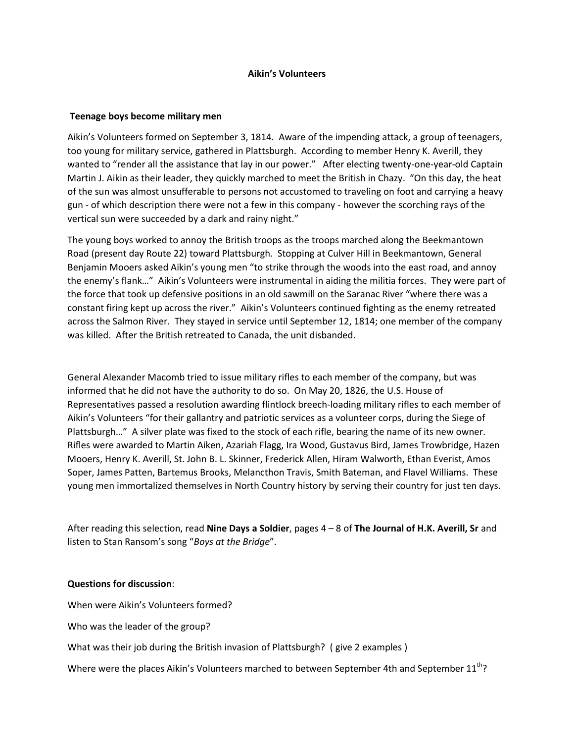## **Aikin's Volunteers**

## **Teenage boys become military men**

Aikin's Volunteers formed on September 3, 1814. Aware of the impending attack, a group of teenagers, too young for military service, gathered in Plattsburgh. According to member Henry K. Averill, they wanted to "render all the assistance that lay in our power." After electing twenty-one-year-old Captain Martin J. Aikin as their leader, they quickly marched to meet the British in Chazy. "On this day, the heat of the sun was almost unsufferable to persons not accustomed to traveling on foot and carrying a heavy gun - of which description there were not a few in this company - however the scorching rays of the vertical sun were succeeded by a dark and rainy night."

The young boys worked to annoy the British troops as the troops marched along the Beekmantown Road (present day Route 22) toward Plattsburgh. Stopping at Culver Hill in Beekmantown, General Benjamin Mooers asked Aikin's young men "to strike through the woods into the east road, and annoy the enemy's flank…" Aikin's Volunteers were instrumental in aiding the militia forces. They were part of the force that took up defensive positions in an old sawmill on the Saranac River "where there was a constant firing kept up across the river." Aikin's Volunteers continued fighting as the enemy retreated across the Salmon River. They stayed in service until September 12, 1814; one member of the company was killed. After the British retreated to Canada, the unit disbanded.

General Alexander Macomb tried to issue military rifles to each member of the company, but was informed that he did not have the authority to do so. On May 20, 1826, the U.S. House of Representatives passed a resolution awarding flintlock breech-loading military rifles to each member of Aikin's Volunteers "for their gallantry and patriotic services as a volunteer corps, during the Siege of Plattsburgh…" A silver plate was fixed to the stock of each rifle, bearing the name of its new owner. Rifles were awarded to Martin Aiken, Azariah Flagg, Ira Wood, Gustavus Bird, James Trowbridge, Hazen Mooers, Henry K. Averill, St. John B. L. Skinner, Frederick Allen, Hiram Walworth, Ethan Everist, Amos Soper, James Patten, Bartemus Brooks, Melancthon Travis, Smith Bateman, and Flavel Williams. These young men immortalized themselves in North Country history by serving their country for just ten days.

After reading this selection, read **Nine Days a Soldier**, pages 4 – 8 of **The Journal of H.K. Averill, Sr** and listen to Stan Ransom's song "*Boys at the Bridge*".

### **Questions for discussion**:

When were Aikin's Volunteers formed?

Who was the leader of the group?

What was their job during the British invasion of Plattsburgh? ( give 2 examples )

Where were the places Aikin's Volunteers marched to between September 4th and September  $11^{th}$ ?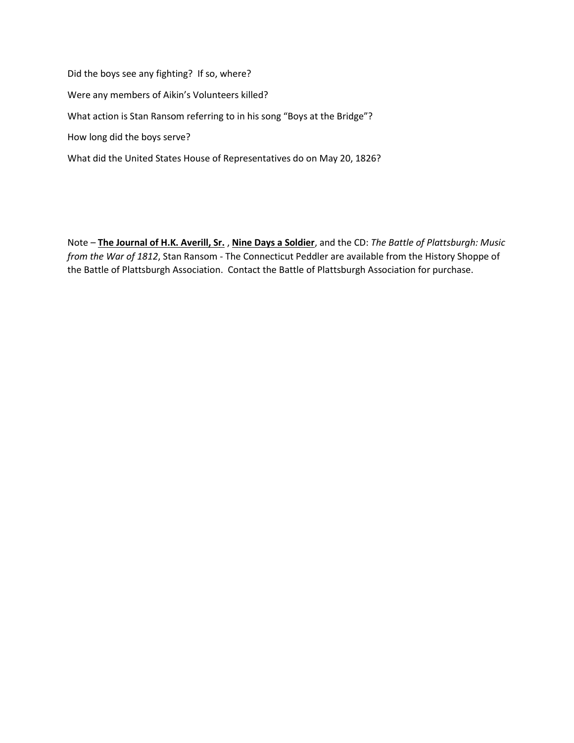Did the boys see any fighting? If so, where? Were any members of Aikin's Volunteers killed? What action is Stan Ransom referring to in his song "Boys at the Bridge"? How long did the boys serve? What did the United States House of Representatives do on May 20, 1826?

Note – **The Journal of H.K. Averill, Sr.** , **Nine Days a Soldier**, and the CD: *The Battle of Plattsburgh: Music from the War of 1812*, Stan Ransom - The Connecticut Peddler are available from the History Shoppe of the Battle of Plattsburgh Association. Contact the Battle of Plattsburgh Association for purchase.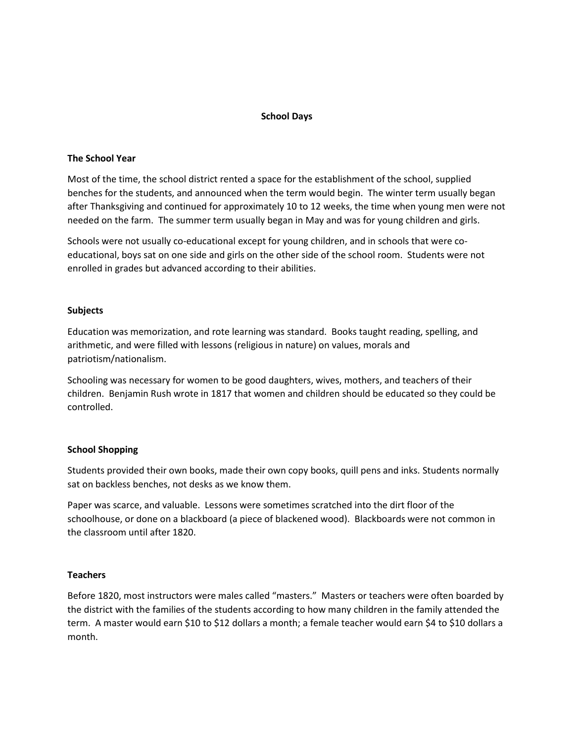## **School Days**

#### **The School Year**

Most of the time, the school district rented a space for the establishment of the school, supplied benches for the students, and announced when the term would begin. The winter term usually began after Thanksgiving and continued for approximately 10 to 12 weeks, the time when young men were not needed on the farm. The summer term usually began in May and was for young children and girls.

Schools were not usually co-educational except for young children, and in schools that were coeducational, boys sat on one side and girls on the other side of the school room. Students were not enrolled in grades but advanced according to their abilities.

#### **Subjects**

Education was memorization, and rote learning was standard. Books taught reading, spelling, and arithmetic, and were filled with lessons (religious in nature) on values, morals and patriotism/nationalism.

Schooling was necessary for women to be good daughters, wives, mothers, and teachers of their children. Benjamin Rush wrote in 1817 that women and children should be educated so they could be controlled.

### **School Shopping**

Students provided their own books, made their own copy books, quill pens and inks. Students normally sat on backless benches, not desks as we know them.

Paper was scarce, and valuable. Lessons were sometimes scratched into the dirt floor of the schoolhouse, or done on a blackboard (a piece of blackened wood). Blackboards were not common in the classroom until after 1820.

#### **Teachers**

Before 1820, most instructors were males called "masters." Masters or teachers were often boarded by the district with the families of the students according to how many children in the family attended the term. A master would earn \$10 to \$12 dollars a month; a female teacher would earn \$4 to \$10 dollars a month.